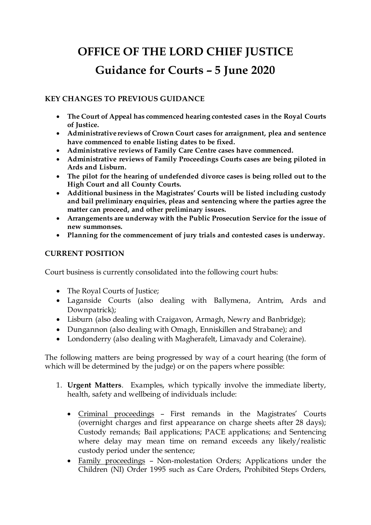# **OFFICE OF THE LORD CHIEF JUSTICE Guidance for Courts – 5 June 2020**

## **KEY CHANGES TO PREVIOUS GUIDANCE**

- **The Court of Appeal has commenced hearing contested cases in the Royal Courts of Justice.**
- **Administrative reviews of Crown Court cases for arraignment, plea and sentence have commenced to enable listing dates to be fixed.**
- **Administrative reviews of Family Care Centre cases have commenced.**
- **Administrative reviews of Family Proceedings Courts cases are being piloted in Ards and Lisburn.**
- **The pilot for the hearing of undefended divorce cases is being rolled out to the High Court and all County Courts.**
- **Additional business in the Magistrates' Courts will be listed including custody and bail preliminary enquiries, pleas and sentencing where the parties agree the matter can proceed, and other preliminary issues.**
- **Arrangements are underway with the Public Prosecution Service for the issue of new summonses.**
- **Planning for the commencement of jury trials and contested cases is underway.**

# **CURRENT POSITION**

Court business is currently consolidated into the following court hubs:

- The Royal Courts of Justice;
- Laganside Courts (also dealing with Ballymena, Antrim, Ards and Downpatrick);
- Lisburn (also dealing with Craigavon, Armagh, Newry and Banbridge);
- Dungannon (also dealing with Omagh, Enniskillen and Strabane); and
- Londonderry (also dealing with Magherafelt, Limavady and Coleraine).

The following matters are being progressed by way of a court hearing (the form of which will be determined by the judge) or on the papers where possible:

- 1. **Urgent Matters**. Examples, which typically involve the immediate liberty, health, safety and wellbeing of individuals include:
	- Criminal proceedings First remands in the Magistrates' Courts (overnight charges and first appearance on charge sheets after 28 days); Custody remands; Bail applications; PACE applications; and Sentencing where delay may mean time on remand exceeds any likely/realistic custody period under the sentence;
	- Family proceedings Non-molestation Orders; Applications under the Children (NI) Order 1995 such as Care Orders, Prohibited Steps Orders,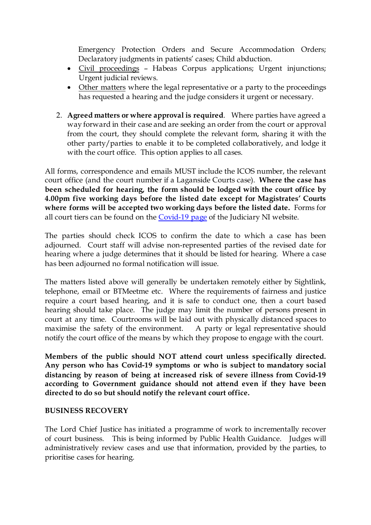Emergency Protection Orders and Secure Accommodation Orders; Declaratory judgments in patients' cases; Child abduction.

- Civil proceedings Habeas Corpus applications; Urgent injunctions; Urgent judicial reviews.
- Other matters where the legal representative or a party to the proceedings has requested a hearing and the judge considers it urgent or necessary.
- 2. **Agreed matters or where approval is required**. Where parties have agreed a way forward in their case and are seeking an order from the court or approval from the court, they should complete the relevant form, sharing it with the other party/parties to enable it to be completed collaboratively, and lodge it with the court office. This option applies to all cases.

All forms, correspondence and emails MUST include the ICOS number, the relevant court office (and the court number if a Laganside Courts case). **Where the case has been scheduled for hearing, the form should be lodged with the court office by 4.00pm five working days before the listed date except for Magistrates' Courts where forms will be accepted two working days before the listed date.** Forms for all court tiers can be found on th[e Covid-19 page](https://judiciaryni.uk/coronavirus-covid-19) of the Judiciary NI website.

The parties should check ICOS to confirm the date to which a case has been adjourned. Court staff will advise non-represented parties of the revised date for hearing where a judge determines that it should be listed for hearing. Where a case has been adjourned no formal notification will issue.

The matters listed above will generally be undertaken remotely either by Sightlink, telephone, email or BTMeetme etc. Where the requirements of fairness and justice require a court based hearing, and it is safe to conduct one, then a court based hearing should take place. The judge may limit the number of persons present in court at any time. Courtrooms will be laid out with physically distanced spaces to maximise the safety of the environment. A party or legal representative should maximise the safety of the environment. notify the court office of the means by which they propose to engage with the court.

**Members of the public should NOT attend court unless specifically directed. Any person who has Covid-19 symptoms or who is subject to mandatory social distancing by reason of being at increased risk of severe illness from Covid-19 according to Government guidance should not attend even if they have been directed to do so but should notify the relevant court office.** 

#### **BUSINESS RECOVERY**

The Lord Chief Justice has initiated a programme of work to incrementally recover of court business. This is being informed by Public Health Guidance. Judges will administratively review cases and use that information, provided by the parties, to prioritise cases for hearing.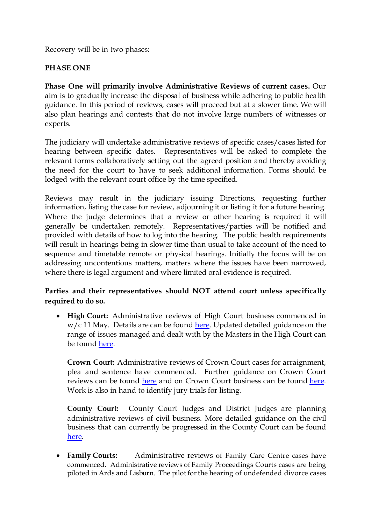Recovery will be in two phases:

### **PHASE ONE**

**Phase One will primarily involve Administrative Reviews of current cases.** Our aim is to gradually increase the disposal of business while adhering to public health guidance. In this period of reviews, cases will proceed but at a slower time. We will also plan hearings and contests that do not involve large numbers of witnesses or experts.

The judiciary will undertake administrative reviews of specific cases/cases listed for hearing between specific dates. Representatives will be asked to complete the relevant forms collaboratively setting out the agreed position and thereby avoiding the need for the court to have to seek additional information. Forms should be lodged with the relevant court office by the time specified.

Reviews may result in the judiciary issuing Directions, requesting further information, listing the case for review, adjourning it or listing it for a future hearing. Where the judge determines that a review or other hearing is required it will generally be undertaken remotely. Representatives/parties will be notified and provided with details of how to log into the hearing. The public health requirements will result in hearings being in slower time than usual to take account of the need to sequence and timetable remote or physical hearings. Initially the focus will be on addressing uncontentious matters, matters where the issues have been narrowed, where there is legal argument and where limited oral evidence is required.

# **Parties and their representatives should NOT attend court unless specifically required to do so.**

• **High Court:** Administrative reviews of High Court business commenced in  $w/c$  11 May. Details are can be found [here.](https://judiciaryni.uk/sites/judiciary/files/media-files/Covid-19%20-%20Guidance%20for%20High%20Court%20Reviews%20-%205%20Jun%2020.pdf) Updated detailed guidance on the range of issues managed and dealt with by the Masters in the High Court can be found [here.](https://judiciaryni.uk/sites/judiciary/files/media-files/Covid-19%20-%20Masters%20Composite%20Guidance%20-%20FINAL%20-%2011.08.20.pdf)

**Crown Court:** Administrative reviews of Crown Court cases for arraignment, plea and sentence have commenced. Further guidance on Crown Court reviews can be found [here](https://judiciaryni.uk/sites/judiciary/files/media-files/Covid-19%20-%20Crown%20Court%20Reviews%20-%205%20Jun%2020.pdf) and on Crown Court business can be found [here.](https://judiciaryni.uk/sites/judiciary/files/media-files/Covid-19%20%20Guidance%20for%20Crown%20Court%20and%20Criminal%20Cases%20%28PACE%2C%20POCA%20etc.%29%20-%205%20Jun%2020.pdf) Work is also in hand to identify jury trials for listing.

**County Court:** County Court Judges and District Judges are planning administrative reviews of civil business. More detailed guidance on the civil business that can currently be progressed in the County Court can be found [here.](https://judiciaryni.uk/sites/judiciary/files/media-files/Covid-19%20-%20Guidance%20for%20County%20Courts%20-%20Civil%20Business%20-%20120520.pdf)

• **Family Courts:** Administrative reviews of Family Care Centre cases have commenced. Administrative reviews of Family Proceedings Courts cases are being piloted in Ards and Lisburn. The pilot for the hearing of undefended divorce cases